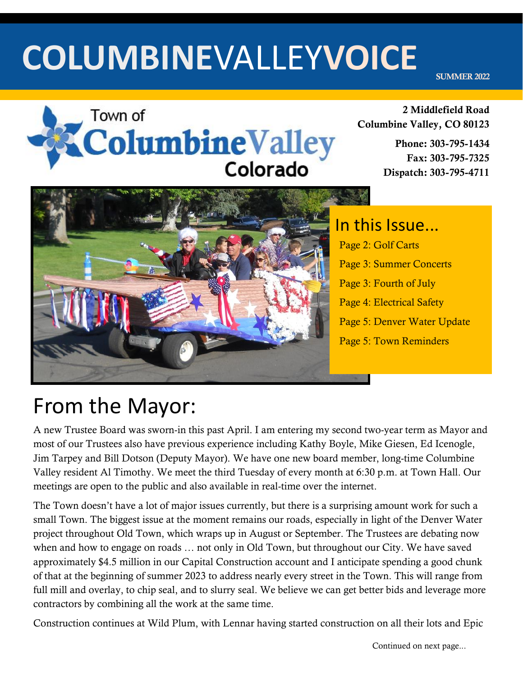# **COLUMBINE**VALLEY**VOICE**

SUMMER 2022



#### 2 Middlefield Road Columbine Valley, CO 80123

Phone: 303-795-1434 Fax: 303-795-7325 Dispatch: 303-795-4711



## In this Issue... Page 2: Golf Carts Page 3: Summer Concerts Page 3: Fourth of July Page 4: Electrical Safety Page 5: Denver Water Update Page 5: Town Reminders

# From the Mayor:

A new Trustee Board was sworn-in this past April. I am entering my second two-year term as Mayor and most of our Trustees also have previous experience including Kathy Boyle, Mike Giesen, Ed Icenogle, Jim Tarpey and Bill Dotson (Deputy Mayor). We have one new board member, long-time Columbine Valley resident Al Timothy. We meet the third Tuesday of every month at 6:30 p.m. at Town Hall. Our meetings are open to the public and also available in real-time over the internet.

The Town doesn't have a lot of major issues currently, but there is a surprising amount work for such a small Town. The biggest issue at the moment remains our roads, especially in light of the Denver Water project throughout Old Town, which wraps up in August or September. The Trustees are debating now when and how to engage on roads … not only in Old Town, but throughout our City. We have saved approximately \$4.5 million in our Capital Construction account and I anticipate spending a good chunk of that at the beginning of summer 2023 to address nearly every street in the Town. This will range from full mill and overlay, to chip seal, and to slurry seal. We believe we can get better bids and leverage more contractors by combining all the work at the same time.

Construction continues at Wild Plum, with Lennar having started construction on all their lots and Epic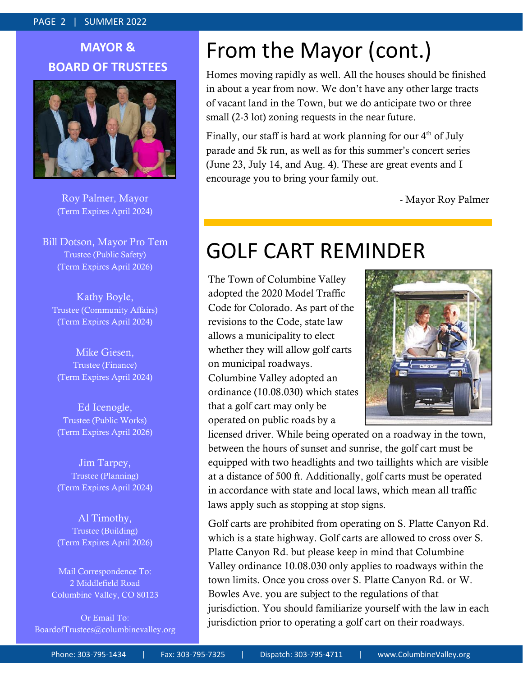#### PAGE 2 | SUMMER 2022

## **MAYOR & BOARD OF TRUSTEES**



Roy Palmer, Mayor (Term Expires April 2024)

Bill Dotson, Mayor Pro Tem Trustee (Public Safety) (Term Expires April 2026)

Kathy Boyle, Trustee (Community Affairs) (Term Expires April 2024)

Mike Giesen, Trustee (Finance) (Term Expires April 2024)

Ed Icenogle, Trustee (Public Works) (Term Expires April 2026)

Jim Tarpey, Trustee (Planning) (Term Expires April 2024)

Al Timothy, Trustee (Building) (Term Expires April 2026)

Mail Correspondence To: 2 Middlefield Road Columbine Valley, CO 80123

Or Email To: BoardofTrustees@columbinevalley.org

## From the Mayor (cont.)

Homes moving rapidly as well. All the houses should be finished in about a year from now. We don't have any other large tracts of vacant land in the Town, but we do anticipate two or three small (2-3 lot) zoning requests in the near future.

Finally, our staff is hard at work planning for our  $4<sup>th</sup>$  of July parade and 5k run, as well as for this summer's concert series (June 23, July 14, and Aug. 4). These are great events and I encourage you to bring your family out.

- Mayor Roy Palmer

## GOLF CART REMINDER

The Town of Columbine Valley adopted the 2020 Model Traffic Code for Colorado. As part of the revisions to the Code, state law allows a municipality to elect whether they will allow golf carts on municipal roadways. Columbine Valley adopted an ordinance (10.08.030) which states that a golf cart may only be operated on public roads by a



licensed driver. While being operated on a roadway in the town, between the hours of sunset and sunrise, the golf cart must be equipped with two headlights and two taillights which are visible at a distance of 500 ft. Additionally, golf carts must be operated in accordance with state and local laws, which mean all traffic laws apply such as stopping at stop signs.

Golf carts are prohibited from operating on S. Platte Canyon Rd. which is a state highway. Golf carts are allowed to cross over S. Platte Canyon Rd. but please keep in mind that Columbine Valley ordinance 10.08.030 only applies to roadways within the town limits. Once you cross over S. Platte Canyon Rd. or W. Bowles Ave. you are subject to the regulations of that jurisdiction. You should familiarize yourself with the law in each jurisdiction prior to operating a golf cart on their roadways.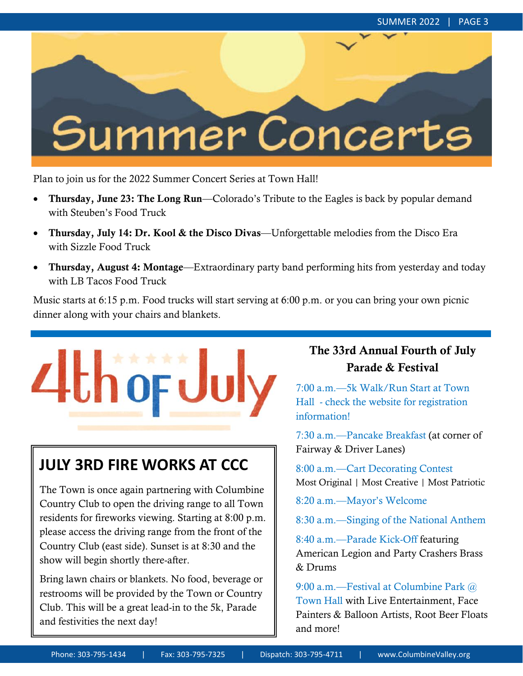# Summer Concerts

Plan to join us for the 2022 Summer Concert Series at Town Hall!

- Thursday, June 23: The Long Run—Colorado's Tribute to the Eagles is back by popular demand with Steuben's Food Truck
- Thursday, July 14: Dr. Kool & the Disco Divas—Unforgettable melodies from the Disco Era with Sizzle Food Truck
- Thursday, August 4: Montage—Extraordinary party band performing hits from yesterday and today with LB Tacos Food Truck

Music starts at 6:15 p.m. Food trucks will start serving at 6:00 p.m. or you can bring your own picnic dinner along with your chairs and blankets.



## **JULY 3RD FIRE WORKS AT CCC**

The Town is once again partnering with Columbine Country Club to open the driving range to all Town residents for fireworks viewing. Starting at 8:00 p.m. please access the driving range from the front of the Country Club (east side). Sunset is at 8:30 and the show will begin shortly there-after.

Bring lawn chairs or blankets. No food, beverage or restrooms will be provided by the Town or Country Club. This will be a great lead-in to the 5k, Parade and festivities the next day!

### The 33rd Annual Fourth of July Parade & Festival

7:00 a.m.—5k Walk/Run Start at Town Hall - check the website for registration information!

7:30 a.m.—Pancake Breakfast (at corner of Fairway & Driver Lanes)

8:00 a.m.—Cart Decorating Contest Most Original | Most Creative | Most Patriotic

8:20 a.m.—Mayor's Welcome

8:30 a.m.—Singing of the National Anthem

8:40 a.m.—Parade Kick-Off featuring American Legion and Party Crashers Brass & Drums

9:00 a.m.—Festival at Columbine Park @ Town Hall with Live Entertainment, Face Painters & Balloon Artists, Root Beer Floats and more!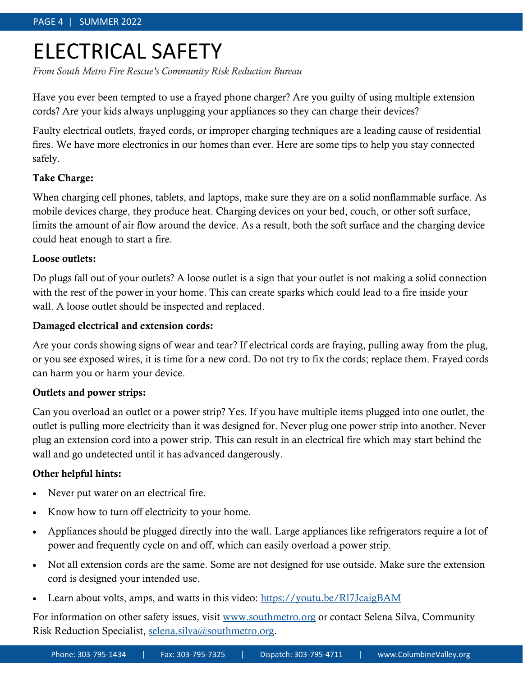## ELECTRICAL SAFETY

*From South Metro Fire Rescue's Community Risk Reduction Bureau*

Have you ever been tempted to use a frayed phone charger? Are you guilty of using multiple extension cords? Are your kids always unplugging your appliances so they can charge their devices?

Faulty electrical outlets, frayed cords, or improper charging techniques are a leading cause of residential fires. We have more electronics in our homes than ever. Here are some tips to help you stay connected safely.

#### Take Charge:

When charging cell phones, tablets, and laptops, make sure they are on a solid nonflammable surface. As mobile devices charge, they produce heat. Charging devices on your bed, couch, or other soft surface, limits the amount of air flow around the device. As a result, both the soft surface and the charging device could heat enough to start a fire.

#### Loose outlets:

Do plugs fall out of your outlets? A loose outlet is a sign that your outlet is not making a solid connection with the rest of the power in your home. This can create sparks which could lead to a fire inside your wall. A loose outlet should be inspected and replaced.

#### Damaged electrical and extension cords:

Are your cords showing signs of wear and tear? If electrical cords are fraying, pulling away from the plug, or you see exposed wires, it is time for a new cord. Do not try to fix the cords; replace them. Frayed cords can harm you or harm your device.

#### Outlets and power strips:

Can you overload an outlet or a power strip? Yes. If you have multiple items plugged into one outlet, the outlet is pulling more electricity than it was designed for. Never plug one power strip into another. Never plug an extension cord into a power strip. This can result in an electrical fire which may start behind the wall and go undetected until it has advanced dangerously.

#### Other helpful hints:

- Never put water on an electrical fire.
- Know how to turn off electricity to your home.
- Appliances should be plugged directly into the wall. Large appliances like refrigerators require a lot of power and frequently cycle on and off, which can easily overload a power strip.
- Not all extension cords are the same. Some are not designed for use outside. Make sure the extension cord is designed your intended use.
- Learn about volts, amps, and watts in this video: [https://youtu.be/Rl7JcaigBAM](https://gcc02.safelinks.protection.outlook.com/?url=https%3A%2F%2Fyoutu.be%2FRl7JcaigBAM&data=04%7C01%7CColleen.Potton%40southmetro.org%7Ce4096418568b42a2744808d9e676542c%7C1f7e97c6d8d44b178228e036631a9c6e%7C0%7C0%7C637794218199483920%7CUnknown%7CTWFpbGZsb3d8)

For information on other safety issues, visit [www.southmetro.org](http://www.southmetro.org) or contact Selena Silva, Community Risk Reduction Specialist, [selena.silva@southmetro.org.](mailto:selena.silva@southmetro.org)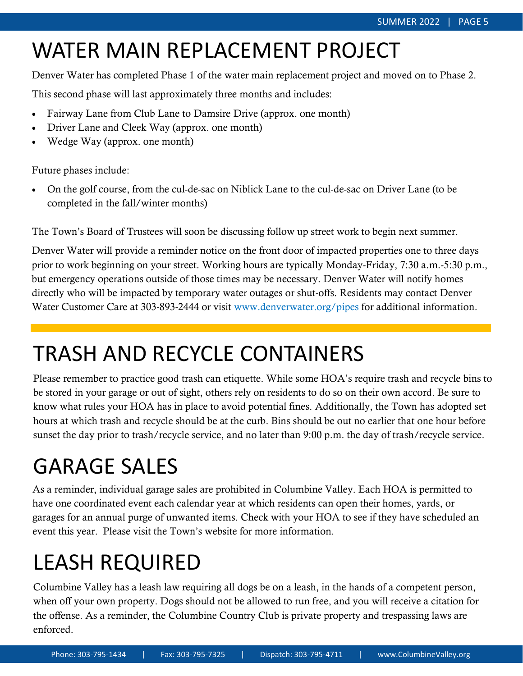# WATER MAIN REPLACEMENT PROJECT

Denver Water has completed Phase 1 of the water main replacement project and moved on to Phase 2.

This second phase will last approximately three months and includes:

- Fairway Lane from Club Lane to Damsire Drive (approx. one month)
- Driver Lane and Cleek Way (approx. one month)
- Wedge Way (approx. one month)

Future phases include:

• On the golf course, from the cul-de-sac on Niblick Lane to the cul-de-sac on Driver Lane (to be completed in the fall/winter months)

The Town's Board of Trustees will soon be discussing follow up street work to begin next summer.

Denver Water will provide a reminder notice on the front door of impacted properties one to three days prior to work beginning on your street. Working hours are typically Monday-Friday, 7:30 a.m.-5:30 p.m., but emergency operations outside of those times may be necessary. Denver Water will notify homes directly who will be impacted by temporary water outages or shut-offs. Residents may contact Denver Water Customer Care at 303-893-2444 or visit www.denverwater.org/pipes for additional information.

# TRASH AND RECYCLE CONTAINERS

Please remember to practice good trash can etiquette. While some HOA's require trash and recycle bins to be stored in your garage or out of sight, others rely on residents to do so on their own accord. Be sure to know what rules your HOA has in place to avoid potential fines. Additionally, the Town has adopted set hours at which trash and recycle should be at the curb. Bins should be out no earlier that one hour before sunset the day prior to trash/recycle service, and no later than 9:00 p.m. the day of trash/recycle service.

# GARAGE SALES

As a reminder, individual garage sales are prohibited in Columbine Valley. Each HOA is permitted to have one coordinated event each calendar year at which residents can open their homes, yards, or garages for an annual purge of unwanted items. Check with your HOA to see if they have scheduled an event this year. Please visit the Town's website for more information.

# LEASH REQUIRED

Columbine Valley has a leash law requiring all dogs be on a leash, in the hands of a competent person, when off your own property. Dogs should not be allowed to run free, and you will receive a citation for the offense. As a reminder, the Columbine Country Club is private property and trespassing laws are enforced.